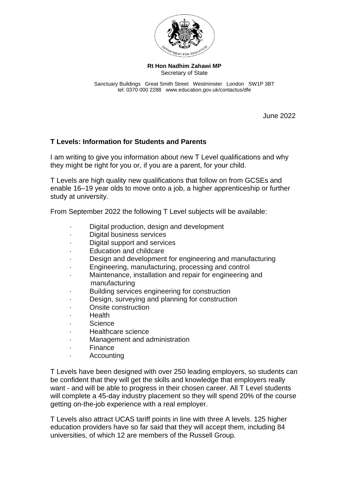

**Rt Hon Nadhim Zahawi MP** Secretary of State

Sanctuary Buildings Great Smith Street Westminster London SW1P 3BT tel: 0370 000 2288 www.education.gov.uk/contactus/dfe

June 2022

## **T Levels: Information for Students and Parents**

I am writing to give you information about new T Level qualifications and why they might be right for you or, if you are a parent, for your child.

T Levels are high quality new qualifications that follow on from GCSEs and enable 16–19 year olds to move onto a job, a higher apprenticeship or further study at university.

From September 2022 the following T Level subjects will be available:

- Digital production, design and development
- Digital business services
- Digital support and services
- Education and childcare
- Design and development for engineering and manufacturing
- · Engineering, manufacturing, processing and control
- · Maintenance, installation and repair for engineering and manufacturing
- · Building services engineering for construction
- · Design, surveying and planning for construction
- · Onsite construction
- · Health
- · Science
- · Healthcare science
- · Management and administration
- · Finance
- · Accounting

T Levels have been designed with over 250 leading employers, so students can be confident that they will get the skills and knowledge that employers really want - and will be able to progress in their chosen career. All T Level students will complete a 45-day industry placement so they will spend 20% of the course getting on-the-job experience with a real employer.

T Levels also attract UCAS tariff points in line with three A levels. 125 higher education providers have so far said that they will accept them, including 84 universities, of which 12 are members of the Russell Group.